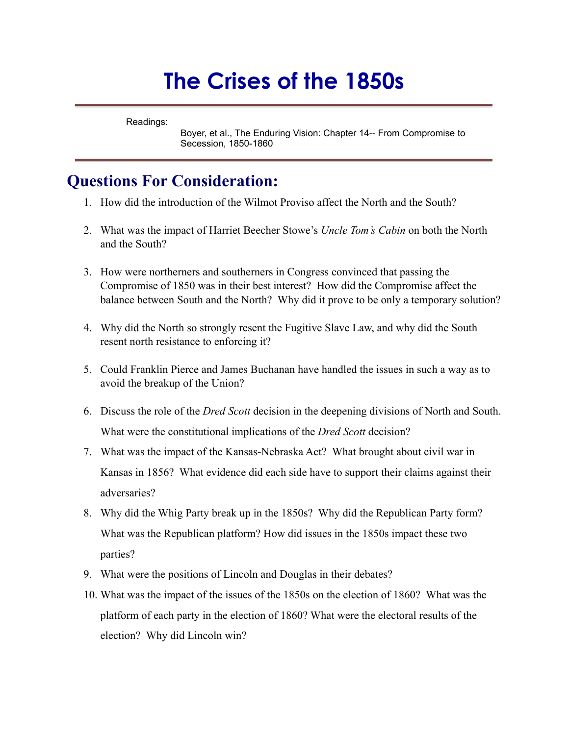## **The Crises of the 1850s**

Readings:

Boyer, et al., The Enduring Vision: Chapter 14-- From Compromise to Secession, 1850-1860

## **Questions For Consideration:**

- 1. How did the introduction of the Wilmot Proviso affect the North and the South?
- 2. What was the impact of Harriet Beecher Stowe's *Uncle Tom's Cabin* on both the North and the South?
- 3. How were northerners and southerners in Congress convinced that passing the Compromise of 1850 was in their best interest? How did the Compromise affect the balance between South and the North? Why did it prove to be only a temporary solution?
- 4. Why did the North so strongly resent the Fugitive Slave Law, and why did the South resent north resistance to enforcing it?
- 5. Could Franklin Pierce and James Buchanan have handled the issues in such a way as to avoid the breakup of the Union?
- 6. Discuss the role of the *Dred Scott* decision in the deepening divisions of North and South. What were the constitutional implications of the *Dred Scott* decision?
- 7. What was the impact of the Kansas-Nebraska Act? What brought about civil war in Kansas in 1856? What evidence did each side have to support their claims against their adversaries?
- 8. Why did the Whig Party break up in the 1850s? Why did the Republican Party form? What was the Republican platform? How did issues in the 1850s impact these two parties?
- 9. What were the positions of Lincoln and Douglas in their debates?
- 10. What was the impact of the issues of the 1850s on the election of 1860? What was the platform of each party in the election of 1860? What were the electoral results of the election? Why did Lincoln win?